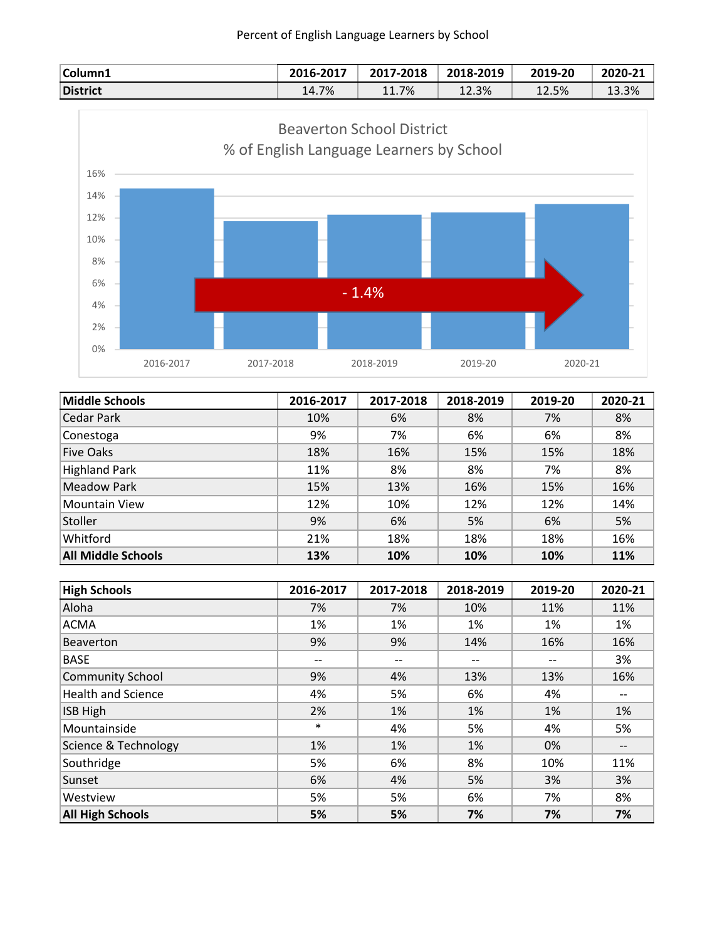| Column1  | 2016-2017 | 2017-2018 | 2018-2019 | 2019-20 | 2020-21 |
|----------|-----------|-----------|-----------|---------|---------|
| District | 14.7%     | 11.7%     | 12.3%     | 12.5%   | 13.3%   |



| <b>Middle Schools</b>     | 2016-2017 | 2017-2018 | 2018-2019 | 2019-20 | 2020-21 |
|---------------------------|-----------|-----------|-----------|---------|---------|
| Cedar Park                | 10%       | 6%        | 8%        | 7%      | 8%      |
| Conestoga                 | 9%        | 7%        | 6%        | 6%      | 8%      |
| <b>Five Oaks</b>          | 18%       | 16%       | 15%       | 15%     | 18%     |
| Highland Park             | 11%       | 8%        | 8%        | 7%      | 8%      |
| <b>Meadow Park</b>        | 15%       | 13%       | 16%       | 15%     | 16%     |
| <b>Mountain View</b>      | 12%       | 10%       | 12%       | 12%     | 14%     |
| Stoller                   | 9%        | 6%        | 5%        | 6%      | 5%      |
| Whitford                  | 21%       | 18%       | 18%       | 18%     | 16%     |
| <b>All Middle Schools</b> | 13%       | 10%       | 10%       | 10%     | 11%     |

| <b>High Schools</b>       | 2016-2017 | 2017-2018 | 2018-2019 | 2019-20 | 2020-21           |
|---------------------------|-----------|-----------|-----------|---------|-------------------|
| Aloha                     | 7%        | 7%        | 10%       | 11%     | 11%               |
| <b>ACMA</b>               | 1%        | 1%        | 1%        | 1%      | 1%                |
| <b>Beaverton</b>          | 9%        | 9%        | 14%       | 16%     | 16%               |
| <b>BASE</b>               | --        | $- -$     | --        | $- -$   | 3%                |
| <b>Community School</b>   | 9%        | 4%        | 13%       | 13%     | 16%               |
| <b>Health and Science</b> | 4%        | 5%        | 6%        | 4%      | $- -$             |
| <b>ISB High</b>           | 2%        | 1%        | 1%        | 1%      | 1%                |
| Mountainside              | $\ast$    | 4%        | 5%        | 4%      | 5%                |
| Science & Technology      | 1%        | 1%        | 1%        | 0%      | $\qquad \qquad -$ |
| Southridge                | 5%        | 6%        | 8%        | 10%     | 11%               |
| Sunset                    | 6%        | 4%        | 5%        | 3%      | 3%                |
| Westview                  | 5%        | 5%        | 6%        | 7%      | 8%                |
| <b>All High Schools</b>   | 5%        | 5%        | 7%        | 7%      | 7%                |